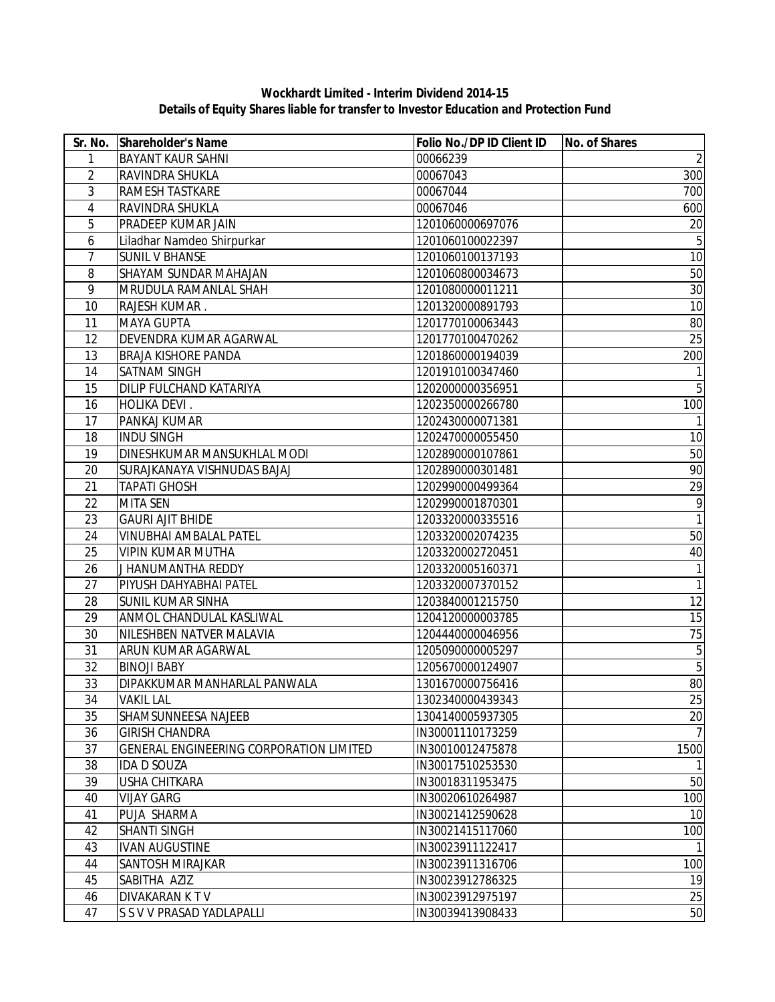## **Wockhardt Limited - Interim Dividend 2014-15 Details of Equity Shares liable for transfer to Investor Education and Protection Fund**

| Sr. No.                  | Shareholder's Name                      | Folio No./DP ID Client ID | No. of Shares  |
|--------------------------|-----------------------------------------|---------------------------|----------------|
| 1                        | <b>BAYANT KAUR SAHNI</b>                | 00066239                  | $\overline{2}$ |
| $\overline{2}$           | RAVINDRA SHUKLA                         | 00067043                  | 300            |
| 3                        | RAMESH TASTKARE                         | 00067044                  | 700            |
| $\overline{\mathcal{A}}$ | RAVINDRA SHUKLA                         | 00067046                  | 600            |
| 5                        | PRADEEP KUMAR JAIN                      | 1201060000697076          | 20             |
| 6                        | Liladhar Namdeo Shirpurkar              | 1201060100022397          | $\overline{5}$ |
| $\overline{7}$           | <b>SUNIL V BHANSE</b>                   | 1201060100137193          | 10             |
| 8                        | SHAYAM SUNDAR MAHAJAN                   | 1201060800034673          | 50             |
| 9                        | MRUDULA RAMANLAL SHAH                   | 1201080000011211          | 30             |
| 10                       | RAJESH KUMAR.                           | 1201320000891793          | 10             |
| 11                       | <b>MAYA GUPTA</b>                       | 1201770100063443          | 80             |
| 12                       | DEVENDRA KUMAR AGARWAL                  | 1201770100470262          | 25             |
| 13                       | <b>BRAJA KISHORE PANDA</b>              | 1201860000194039          | 200            |
| 14                       | SATNAM SINGH                            | 1201910100347460          |                |
| 15                       | DILIP FULCHAND KATARIYA                 | 1202000000356951          | 5              |
| 16                       | HOLIKA DEVI.                            | 1202350000266780          | 100            |
| 17                       | PANKAJ KUMAR                            | 1202430000071381          | 1              |
| 18                       | <b>INDU SINGH</b>                       | 1202470000055450          | 10             |
| 19                       | DINESHKUMAR MANSUKHLAL MODI             | 1202890000107861          | 50             |
| 20                       | SURAJKANAYA VISHNUDAS BAJAJ             | 1202890000301481          | 90             |
| 21                       | <b>TAPATI GHOSH</b>                     | 1202990000499364          | 29             |
| 22                       | <b>MITA SEN</b>                         | 1202990001870301          | 9              |
| 23                       | <b>GAURI AJIT BHIDE</b>                 | 1203320000335516          | $\mathbf{1}$   |
| 24                       | <b>VINUBHAI AMBALAL PATEL</b>           | 1203320002074235          | 50             |
| 25                       | <b>VIPIN KUMAR MUTHA</b>                | 1203320002720451          | 40             |
| 26                       | J HANUMANTHA REDDY                      | 1203320005160371          | 1              |
| 27                       | PIYUSH DAHYABHAI PATEL                  | 1203320007370152          | 1              |
| 28                       | <b>SUNIL KUMAR SINHA</b>                | 1203840001215750          | 12             |
| 29                       | ANMOL CHANDULAL KASLIWAL                | 1204120000003785          | 15             |
| 30                       | NILESHBEN NATVER MALAVIA                | 1204440000046956          | 75             |
| 31                       | ARUN KUMAR AGARWAL                      | 1205090000005297          | $\sqrt{5}$     |
| 32                       | <b>BINOJI BABY</b>                      | 1205670000124907          | $\sqrt{5}$     |
| 33                       | DIPAKKUMAR MANHARLAL PANWALA            | 1301670000756416          | 80             |
| 34                       | <b>VAKIL LAL</b>                        | 1302340000439343          | $25\,$         |
| 35                       | SHAMSUNNEESA NAJEEB                     | 1304140005937305          | 20             |
| 36                       | <b>GIRISH CHANDRA</b>                   | IN30001110173259          | $\overline{7}$ |
| 37                       | GENERAL ENGINEERING CORPORATION LIMITED | IN30010012475878          | 1500           |
| 38                       | <b>IDA D SOUZA</b>                      | IN30017510253530          | $\mathbf{1}$   |
| 39                       | USHA CHITKARA                           | IN30018311953475          | 50             |
| 40                       | <b>VIJAY GARG</b>                       | IN30020610264987          | 100            |
| 41                       | PUJA SHARMA                             | IN30021412590628          | 10             |
| 42                       | <b>SHANTI SINGH</b>                     | IN30021415117060          | 100            |
| 43                       | <b>IVAN AUGUSTINE</b>                   | IN30023911122417          | 1              |
| 44                       | SANTOSH MIRAJKAR                        | IN30023911316706          | 100            |
| 45                       | SABITHA AZIZ                            | IN30023912786325          | 19             |
| 46                       | DIVAKARAN K T V                         | IN30023912975197          | 25             |
| 47                       | S S V V PRASAD YADLAPALLI               | IN30039413908433          | 50             |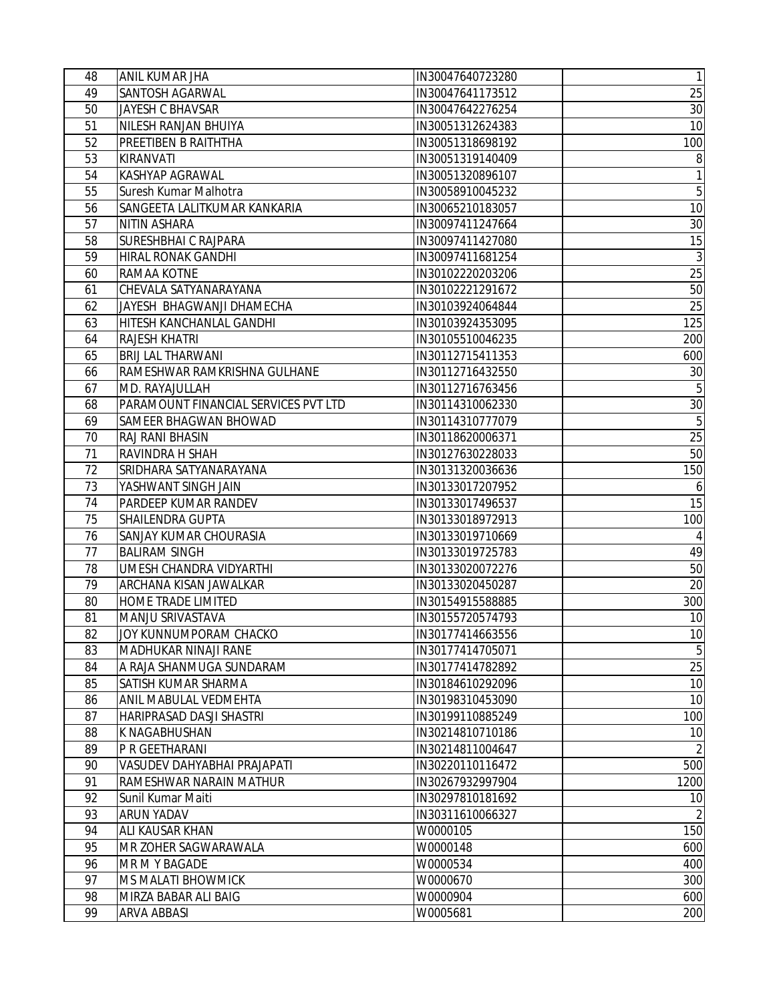| 49<br>SANTOSH AGARWAL<br>IN30047641173512<br>JAYESH C BHAVSAR<br>50<br>IN30047642276254<br>NILESH RANJAN BHUIYA<br>51<br>IN30051312624383<br>PREETIBEN B RAITHTHA<br>52<br>IN30051318698192<br>100<br>53<br>KIRANVATI<br>IN30051319140409<br>54<br>KASHYAP AGRAWAL<br>1<br>IN30051320896107<br>$\overline{5}$<br>55<br>Suresh Kumar Malhotra<br>IN30058910045232<br>56<br>SANGEETA LALITKUMAR KANKARIA<br>IN30065210183057<br>10<br><b>NITIN ASHARA</b><br>IN30097411247664<br>$30\,$<br>57<br>SURESHBHAI C RAJPARA<br>58<br>IN30097411427080<br>59<br>HIRAL RONAK GANDHI<br>IN30097411681254<br>RAMAA KOTNE<br>IN30102220203206<br>60<br>CHEVALA SATYANARAYANA<br>IN30102221291672<br>61<br>62<br>JAYESH BHAGWANJI DHAMECHA<br>IN30103924064844<br>HITESH KANCHANLAL GANDHI<br>IN30103924353095<br>63<br>64<br>RAJESH KHATRI<br>IN30105510046235<br>BRIJ LAL THARWANI<br>IN30112715411353<br>600<br>65<br>RAMESHWAR RAMKRISHNA GULHANE<br>IN30112716432550<br>30<br>66<br>$\overline{5}$<br>MD. RAYAJULLAH<br>IN30112716763456<br>67<br>30<br>PARAMOUNT FINANCIAL SERVICES PVT LTD<br>IN30114310062330<br>68<br>$\overline{5}$<br>SAMEER BHAGWAN BHOWAD<br>IN30114310777079<br>69<br>25<br>RAJ RANI BHASIN<br>70<br>IN30118620006371<br>50<br>71<br>RAVINDRA H SHAH<br>IN30127630228033<br>72<br>SRIDHARA SATYANARAYANA<br>IN30131320036636<br>150<br>73<br>YASHWANT SINGH JAIN<br>IN30133017207952<br>6<br>15<br>74<br>PARDEEP KUMAR RANDEV<br>IN30133017496537<br>SHAILENDRA GUPTA<br>IN30133018972913<br>100<br>75<br>SANJAY KUMAR CHOURASIA<br>76<br>IN30133019710669<br>4<br>77<br><b>BALIRAM SINGH</b><br>IN30133019725783<br>49<br>UMESH CHANDRA VIDYARTHI<br>IN30133020072276<br>78<br>$20\,$<br>ARCHANA KISAN JAWALKAR<br>79<br>IN30133020450287<br>300<br>80<br>HOME TRADE LIMITED<br>IN30154915588885<br>81<br>MANJU SRIVASTAVA<br>IN30155720574793<br>JOY KUNNUMPORAM CHACKO<br>82<br>IN30177414663556<br>10<br>$\overline{5}$<br>MADHUKAR NINAJI RANE<br>83<br>IN30177414705071<br>25<br>84<br>A RAJA SHANMUGA SUNDARAM<br>IN30177414782892<br>10<br>85<br>SATISH KUMAR SHARMA<br>IN30184610292096<br>10<br>86<br>ANIL MABULAL VEDMEHTA<br>IN30198310453090<br>100<br>87<br>HARIPRASAD DASJI SHASTRI<br>IN30199110885249<br>88<br>K NAGABHUSHAN<br>IN30214810710186<br>10<br>$\overline{2}$<br>89<br>P R GEETHARANI<br>IN30214811004647<br>500<br>90<br>VASUDEV DAHYABHAI PRAJAPATI<br>IN30220110116472<br>91<br>RAMESHWAR NARAIN MATHUR<br>1200<br>IN30267932997904<br>92<br>Sunil Kumar Maiti<br>IN30297810181692<br>10<br>$\overline{2}$<br>ARUN YADAV<br>93<br>IN30311610066327<br>150<br>94<br>ALI KAUSAR KHAN<br>W0000105<br>95<br>MR ZOHER SAGWARAWALA<br>W0000148<br>600<br>96<br>400<br>MR M Y BAGADE<br>W0000534<br>97<br>MS MALATI BHOWMICK<br>W0000670<br>98<br>MIRZA BABAR ALI BAIG<br>W0000904<br>99<br>W0005681<br>ARVA ABBASI | 48 | ANIL KUMAR JHA | IN30047640723280 | $\mathbf{1}$    |
|-------------------------------------------------------------------------------------------------------------------------------------------------------------------------------------------------------------------------------------------------------------------------------------------------------------------------------------------------------------------------------------------------------------------------------------------------------------------------------------------------------------------------------------------------------------------------------------------------------------------------------------------------------------------------------------------------------------------------------------------------------------------------------------------------------------------------------------------------------------------------------------------------------------------------------------------------------------------------------------------------------------------------------------------------------------------------------------------------------------------------------------------------------------------------------------------------------------------------------------------------------------------------------------------------------------------------------------------------------------------------------------------------------------------------------------------------------------------------------------------------------------------------------------------------------------------------------------------------------------------------------------------------------------------------------------------------------------------------------------------------------------------------------------------------------------------------------------------------------------------------------------------------------------------------------------------------------------------------------------------------------------------------------------------------------------------------------------------------------------------------------------------------------------------------------------------------------------------------------------------------------------------------------------------------------------------------------------------------------------------------------------------------------------------------------------------------------------------------------------------------------------------------------------------------------------------------------------------------------------------------------------------------------------------------------------------------------------------------------------------------------------------------------------------------------------------------------------------------------------|----|----------------|------------------|-----------------|
|                                                                                                                                                                                                                                                                                                                                                                                                                                                                                                                                                                                                                                                                                                                                                                                                                                                                                                                                                                                                                                                                                                                                                                                                                                                                                                                                                                                                                                                                                                                                                                                                                                                                                                                                                                                                                                                                                                                                                                                                                                                                                                                                                                                                                                                                                                                                                                                                                                                                                                                                                                                                                                                                                                                                                                                                                                                             |    |                |                  | 25              |
|                                                                                                                                                                                                                                                                                                                                                                                                                                                                                                                                                                                                                                                                                                                                                                                                                                                                                                                                                                                                                                                                                                                                                                                                                                                                                                                                                                                                                                                                                                                                                                                                                                                                                                                                                                                                                                                                                                                                                                                                                                                                                                                                                                                                                                                                                                                                                                                                                                                                                                                                                                                                                                                                                                                                                                                                                                                             |    |                |                  | 30              |
|                                                                                                                                                                                                                                                                                                                                                                                                                                                                                                                                                                                                                                                                                                                                                                                                                                                                                                                                                                                                                                                                                                                                                                                                                                                                                                                                                                                                                                                                                                                                                                                                                                                                                                                                                                                                                                                                                                                                                                                                                                                                                                                                                                                                                                                                                                                                                                                                                                                                                                                                                                                                                                                                                                                                                                                                                                                             |    |                |                  | 10              |
|                                                                                                                                                                                                                                                                                                                                                                                                                                                                                                                                                                                                                                                                                                                                                                                                                                                                                                                                                                                                                                                                                                                                                                                                                                                                                                                                                                                                                                                                                                                                                                                                                                                                                                                                                                                                                                                                                                                                                                                                                                                                                                                                                                                                                                                                                                                                                                                                                                                                                                                                                                                                                                                                                                                                                                                                                                                             |    |                |                  |                 |
|                                                                                                                                                                                                                                                                                                                                                                                                                                                                                                                                                                                                                                                                                                                                                                                                                                                                                                                                                                                                                                                                                                                                                                                                                                                                                                                                                                                                                                                                                                                                                                                                                                                                                                                                                                                                                                                                                                                                                                                                                                                                                                                                                                                                                                                                                                                                                                                                                                                                                                                                                                                                                                                                                                                                                                                                                                                             |    |                |                  | 8               |
|                                                                                                                                                                                                                                                                                                                                                                                                                                                                                                                                                                                                                                                                                                                                                                                                                                                                                                                                                                                                                                                                                                                                                                                                                                                                                                                                                                                                                                                                                                                                                                                                                                                                                                                                                                                                                                                                                                                                                                                                                                                                                                                                                                                                                                                                                                                                                                                                                                                                                                                                                                                                                                                                                                                                                                                                                                                             |    |                |                  |                 |
|                                                                                                                                                                                                                                                                                                                                                                                                                                                                                                                                                                                                                                                                                                                                                                                                                                                                                                                                                                                                                                                                                                                                                                                                                                                                                                                                                                                                                                                                                                                                                                                                                                                                                                                                                                                                                                                                                                                                                                                                                                                                                                                                                                                                                                                                                                                                                                                                                                                                                                                                                                                                                                                                                                                                                                                                                                                             |    |                |                  |                 |
|                                                                                                                                                                                                                                                                                                                                                                                                                                                                                                                                                                                                                                                                                                                                                                                                                                                                                                                                                                                                                                                                                                                                                                                                                                                                                                                                                                                                                                                                                                                                                                                                                                                                                                                                                                                                                                                                                                                                                                                                                                                                                                                                                                                                                                                                                                                                                                                                                                                                                                                                                                                                                                                                                                                                                                                                                                                             |    |                |                  |                 |
|                                                                                                                                                                                                                                                                                                                                                                                                                                                                                                                                                                                                                                                                                                                                                                                                                                                                                                                                                                                                                                                                                                                                                                                                                                                                                                                                                                                                                                                                                                                                                                                                                                                                                                                                                                                                                                                                                                                                                                                                                                                                                                                                                                                                                                                                                                                                                                                                                                                                                                                                                                                                                                                                                                                                                                                                                                                             |    |                |                  |                 |
|                                                                                                                                                                                                                                                                                                                                                                                                                                                                                                                                                                                                                                                                                                                                                                                                                                                                                                                                                                                                                                                                                                                                                                                                                                                                                                                                                                                                                                                                                                                                                                                                                                                                                                                                                                                                                                                                                                                                                                                                                                                                                                                                                                                                                                                                                                                                                                                                                                                                                                                                                                                                                                                                                                                                                                                                                                                             |    |                |                  | 15              |
|                                                                                                                                                                                                                                                                                                                                                                                                                                                                                                                                                                                                                                                                                                                                                                                                                                                                                                                                                                                                                                                                                                                                                                                                                                                                                                                                                                                                                                                                                                                                                                                                                                                                                                                                                                                                                                                                                                                                                                                                                                                                                                                                                                                                                                                                                                                                                                                                                                                                                                                                                                                                                                                                                                                                                                                                                                                             |    |                |                  | $\mathbf{3}$    |
|                                                                                                                                                                                                                                                                                                                                                                                                                                                                                                                                                                                                                                                                                                                                                                                                                                                                                                                                                                                                                                                                                                                                                                                                                                                                                                                                                                                                                                                                                                                                                                                                                                                                                                                                                                                                                                                                                                                                                                                                                                                                                                                                                                                                                                                                                                                                                                                                                                                                                                                                                                                                                                                                                                                                                                                                                                                             |    |                |                  | 25              |
|                                                                                                                                                                                                                                                                                                                                                                                                                                                                                                                                                                                                                                                                                                                                                                                                                                                                                                                                                                                                                                                                                                                                                                                                                                                                                                                                                                                                                                                                                                                                                                                                                                                                                                                                                                                                                                                                                                                                                                                                                                                                                                                                                                                                                                                                                                                                                                                                                                                                                                                                                                                                                                                                                                                                                                                                                                                             |    |                |                  | 50              |
|                                                                                                                                                                                                                                                                                                                                                                                                                                                                                                                                                                                                                                                                                                                                                                                                                                                                                                                                                                                                                                                                                                                                                                                                                                                                                                                                                                                                                                                                                                                                                                                                                                                                                                                                                                                                                                                                                                                                                                                                                                                                                                                                                                                                                                                                                                                                                                                                                                                                                                                                                                                                                                                                                                                                                                                                                                                             |    |                |                  | $\overline{25}$ |
|                                                                                                                                                                                                                                                                                                                                                                                                                                                                                                                                                                                                                                                                                                                                                                                                                                                                                                                                                                                                                                                                                                                                                                                                                                                                                                                                                                                                                                                                                                                                                                                                                                                                                                                                                                                                                                                                                                                                                                                                                                                                                                                                                                                                                                                                                                                                                                                                                                                                                                                                                                                                                                                                                                                                                                                                                                                             |    |                |                  | 125             |
|                                                                                                                                                                                                                                                                                                                                                                                                                                                                                                                                                                                                                                                                                                                                                                                                                                                                                                                                                                                                                                                                                                                                                                                                                                                                                                                                                                                                                                                                                                                                                                                                                                                                                                                                                                                                                                                                                                                                                                                                                                                                                                                                                                                                                                                                                                                                                                                                                                                                                                                                                                                                                                                                                                                                                                                                                                                             |    |                |                  | 200             |
|                                                                                                                                                                                                                                                                                                                                                                                                                                                                                                                                                                                                                                                                                                                                                                                                                                                                                                                                                                                                                                                                                                                                                                                                                                                                                                                                                                                                                                                                                                                                                                                                                                                                                                                                                                                                                                                                                                                                                                                                                                                                                                                                                                                                                                                                                                                                                                                                                                                                                                                                                                                                                                                                                                                                                                                                                                                             |    |                |                  |                 |
|                                                                                                                                                                                                                                                                                                                                                                                                                                                                                                                                                                                                                                                                                                                                                                                                                                                                                                                                                                                                                                                                                                                                                                                                                                                                                                                                                                                                                                                                                                                                                                                                                                                                                                                                                                                                                                                                                                                                                                                                                                                                                                                                                                                                                                                                                                                                                                                                                                                                                                                                                                                                                                                                                                                                                                                                                                                             |    |                |                  |                 |
|                                                                                                                                                                                                                                                                                                                                                                                                                                                                                                                                                                                                                                                                                                                                                                                                                                                                                                                                                                                                                                                                                                                                                                                                                                                                                                                                                                                                                                                                                                                                                                                                                                                                                                                                                                                                                                                                                                                                                                                                                                                                                                                                                                                                                                                                                                                                                                                                                                                                                                                                                                                                                                                                                                                                                                                                                                                             |    |                |                  |                 |
|                                                                                                                                                                                                                                                                                                                                                                                                                                                                                                                                                                                                                                                                                                                                                                                                                                                                                                                                                                                                                                                                                                                                                                                                                                                                                                                                                                                                                                                                                                                                                                                                                                                                                                                                                                                                                                                                                                                                                                                                                                                                                                                                                                                                                                                                                                                                                                                                                                                                                                                                                                                                                                                                                                                                                                                                                                                             |    |                |                  |                 |
|                                                                                                                                                                                                                                                                                                                                                                                                                                                                                                                                                                                                                                                                                                                                                                                                                                                                                                                                                                                                                                                                                                                                                                                                                                                                                                                                                                                                                                                                                                                                                                                                                                                                                                                                                                                                                                                                                                                                                                                                                                                                                                                                                                                                                                                                                                                                                                                                                                                                                                                                                                                                                                                                                                                                                                                                                                                             |    |                |                  |                 |
|                                                                                                                                                                                                                                                                                                                                                                                                                                                                                                                                                                                                                                                                                                                                                                                                                                                                                                                                                                                                                                                                                                                                                                                                                                                                                                                                                                                                                                                                                                                                                                                                                                                                                                                                                                                                                                                                                                                                                                                                                                                                                                                                                                                                                                                                                                                                                                                                                                                                                                                                                                                                                                                                                                                                                                                                                                                             |    |                |                  |                 |
|                                                                                                                                                                                                                                                                                                                                                                                                                                                                                                                                                                                                                                                                                                                                                                                                                                                                                                                                                                                                                                                                                                                                                                                                                                                                                                                                                                                                                                                                                                                                                                                                                                                                                                                                                                                                                                                                                                                                                                                                                                                                                                                                                                                                                                                                                                                                                                                                                                                                                                                                                                                                                                                                                                                                                                                                                                                             |    |                |                  |                 |
|                                                                                                                                                                                                                                                                                                                                                                                                                                                                                                                                                                                                                                                                                                                                                                                                                                                                                                                                                                                                                                                                                                                                                                                                                                                                                                                                                                                                                                                                                                                                                                                                                                                                                                                                                                                                                                                                                                                                                                                                                                                                                                                                                                                                                                                                                                                                                                                                                                                                                                                                                                                                                                                                                                                                                                                                                                                             |    |                |                  |                 |
|                                                                                                                                                                                                                                                                                                                                                                                                                                                                                                                                                                                                                                                                                                                                                                                                                                                                                                                                                                                                                                                                                                                                                                                                                                                                                                                                                                                                                                                                                                                                                                                                                                                                                                                                                                                                                                                                                                                                                                                                                                                                                                                                                                                                                                                                                                                                                                                                                                                                                                                                                                                                                                                                                                                                                                                                                                                             |    |                |                  |                 |
|                                                                                                                                                                                                                                                                                                                                                                                                                                                                                                                                                                                                                                                                                                                                                                                                                                                                                                                                                                                                                                                                                                                                                                                                                                                                                                                                                                                                                                                                                                                                                                                                                                                                                                                                                                                                                                                                                                                                                                                                                                                                                                                                                                                                                                                                                                                                                                                                                                                                                                                                                                                                                                                                                                                                                                                                                                                             |    |                |                  |                 |
|                                                                                                                                                                                                                                                                                                                                                                                                                                                                                                                                                                                                                                                                                                                                                                                                                                                                                                                                                                                                                                                                                                                                                                                                                                                                                                                                                                                                                                                                                                                                                                                                                                                                                                                                                                                                                                                                                                                                                                                                                                                                                                                                                                                                                                                                                                                                                                                                                                                                                                                                                                                                                                                                                                                                                                                                                                                             |    |                |                  |                 |
|                                                                                                                                                                                                                                                                                                                                                                                                                                                                                                                                                                                                                                                                                                                                                                                                                                                                                                                                                                                                                                                                                                                                                                                                                                                                                                                                                                                                                                                                                                                                                                                                                                                                                                                                                                                                                                                                                                                                                                                                                                                                                                                                                                                                                                                                                                                                                                                                                                                                                                                                                                                                                                                                                                                                                                                                                                                             |    |                |                  |                 |
|                                                                                                                                                                                                                                                                                                                                                                                                                                                                                                                                                                                                                                                                                                                                                                                                                                                                                                                                                                                                                                                                                                                                                                                                                                                                                                                                                                                                                                                                                                                                                                                                                                                                                                                                                                                                                                                                                                                                                                                                                                                                                                                                                                                                                                                                                                                                                                                                                                                                                                                                                                                                                                                                                                                                                                                                                                                             |    |                |                  |                 |
|                                                                                                                                                                                                                                                                                                                                                                                                                                                                                                                                                                                                                                                                                                                                                                                                                                                                                                                                                                                                                                                                                                                                                                                                                                                                                                                                                                                                                                                                                                                                                                                                                                                                                                                                                                                                                                                                                                                                                                                                                                                                                                                                                                                                                                                                                                                                                                                                                                                                                                                                                                                                                                                                                                                                                                                                                                                             |    |                |                  | 50              |
|                                                                                                                                                                                                                                                                                                                                                                                                                                                                                                                                                                                                                                                                                                                                                                                                                                                                                                                                                                                                                                                                                                                                                                                                                                                                                                                                                                                                                                                                                                                                                                                                                                                                                                                                                                                                                                                                                                                                                                                                                                                                                                                                                                                                                                                                                                                                                                                                                                                                                                                                                                                                                                                                                                                                                                                                                                                             |    |                |                  |                 |
|                                                                                                                                                                                                                                                                                                                                                                                                                                                                                                                                                                                                                                                                                                                                                                                                                                                                                                                                                                                                                                                                                                                                                                                                                                                                                                                                                                                                                                                                                                                                                                                                                                                                                                                                                                                                                                                                                                                                                                                                                                                                                                                                                                                                                                                                                                                                                                                                                                                                                                                                                                                                                                                                                                                                                                                                                                                             |    |                |                  |                 |
|                                                                                                                                                                                                                                                                                                                                                                                                                                                                                                                                                                                                                                                                                                                                                                                                                                                                                                                                                                                                                                                                                                                                                                                                                                                                                                                                                                                                                                                                                                                                                                                                                                                                                                                                                                                                                                                                                                                                                                                                                                                                                                                                                                                                                                                                                                                                                                                                                                                                                                                                                                                                                                                                                                                                                                                                                                                             |    |                |                  | 10              |
|                                                                                                                                                                                                                                                                                                                                                                                                                                                                                                                                                                                                                                                                                                                                                                                                                                                                                                                                                                                                                                                                                                                                                                                                                                                                                                                                                                                                                                                                                                                                                                                                                                                                                                                                                                                                                                                                                                                                                                                                                                                                                                                                                                                                                                                                                                                                                                                                                                                                                                                                                                                                                                                                                                                                                                                                                                                             |    |                |                  |                 |
|                                                                                                                                                                                                                                                                                                                                                                                                                                                                                                                                                                                                                                                                                                                                                                                                                                                                                                                                                                                                                                                                                                                                                                                                                                                                                                                                                                                                                                                                                                                                                                                                                                                                                                                                                                                                                                                                                                                                                                                                                                                                                                                                                                                                                                                                                                                                                                                                                                                                                                                                                                                                                                                                                                                                                                                                                                                             |    |                |                  |                 |
|                                                                                                                                                                                                                                                                                                                                                                                                                                                                                                                                                                                                                                                                                                                                                                                                                                                                                                                                                                                                                                                                                                                                                                                                                                                                                                                                                                                                                                                                                                                                                                                                                                                                                                                                                                                                                                                                                                                                                                                                                                                                                                                                                                                                                                                                                                                                                                                                                                                                                                                                                                                                                                                                                                                                                                                                                                                             |    |                |                  |                 |
|                                                                                                                                                                                                                                                                                                                                                                                                                                                                                                                                                                                                                                                                                                                                                                                                                                                                                                                                                                                                                                                                                                                                                                                                                                                                                                                                                                                                                                                                                                                                                                                                                                                                                                                                                                                                                                                                                                                                                                                                                                                                                                                                                                                                                                                                                                                                                                                                                                                                                                                                                                                                                                                                                                                                                                                                                                                             |    |                |                  |                 |
|                                                                                                                                                                                                                                                                                                                                                                                                                                                                                                                                                                                                                                                                                                                                                                                                                                                                                                                                                                                                                                                                                                                                                                                                                                                                                                                                                                                                                                                                                                                                                                                                                                                                                                                                                                                                                                                                                                                                                                                                                                                                                                                                                                                                                                                                                                                                                                                                                                                                                                                                                                                                                                                                                                                                                                                                                                                             |    |                |                  |                 |
|                                                                                                                                                                                                                                                                                                                                                                                                                                                                                                                                                                                                                                                                                                                                                                                                                                                                                                                                                                                                                                                                                                                                                                                                                                                                                                                                                                                                                                                                                                                                                                                                                                                                                                                                                                                                                                                                                                                                                                                                                                                                                                                                                                                                                                                                                                                                                                                                                                                                                                                                                                                                                                                                                                                                                                                                                                                             |    |                |                  |                 |
|                                                                                                                                                                                                                                                                                                                                                                                                                                                                                                                                                                                                                                                                                                                                                                                                                                                                                                                                                                                                                                                                                                                                                                                                                                                                                                                                                                                                                                                                                                                                                                                                                                                                                                                                                                                                                                                                                                                                                                                                                                                                                                                                                                                                                                                                                                                                                                                                                                                                                                                                                                                                                                                                                                                                                                                                                                                             |    |                |                  |                 |
|                                                                                                                                                                                                                                                                                                                                                                                                                                                                                                                                                                                                                                                                                                                                                                                                                                                                                                                                                                                                                                                                                                                                                                                                                                                                                                                                                                                                                                                                                                                                                                                                                                                                                                                                                                                                                                                                                                                                                                                                                                                                                                                                                                                                                                                                                                                                                                                                                                                                                                                                                                                                                                                                                                                                                                                                                                                             |    |                |                  |                 |
|                                                                                                                                                                                                                                                                                                                                                                                                                                                                                                                                                                                                                                                                                                                                                                                                                                                                                                                                                                                                                                                                                                                                                                                                                                                                                                                                                                                                                                                                                                                                                                                                                                                                                                                                                                                                                                                                                                                                                                                                                                                                                                                                                                                                                                                                                                                                                                                                                                                                                                                                                                                                                                                                                                                                                                                                                                                             |    |                |                  |                 |
|                                                                                                                                                                                                                                                                                                                                                                                                                                                                                                                                                                                                                                                                                                                                                                                                                                                                                                                                                                                                                                                                                                                                                                                                                                                                                                                                                                                                                                                                                                                                                                                                                                                                                                                                                                                                                                                                                                                                                                                                                                                                                                                                                                                                                                                                                                                                                                                                                                                                                                                                                                                                                                                                                                                                                                                                                                                             |    |                |                  |                 |
|                                                                                                                                                                                                                                                                                                                                                                                                                                                                                                                                                                                                                                                                                                                                                                                                                                                                                                                                                                                                                                                                                                                                                                                                                                                                                                                                                                                                                                                                                                                                                                                                                                                                                                                                                                                                                                                                                                                                                                                                                                                                                                                                                                                                                                                                                                                                                                                                                                                                                                                                                                                                                                                                                                                                                                                                                                                             |    |                |                  |                 |
|                                                                                                                                                                                                                                                                                                                                                                                                                                                                                                                                                                                                                                                                                                                                                                                                                                                                                                                                                                                                                                                                                                                                                                                                                                                                                                                                                                                                                                                                                                                                                                                                                                                                                                                                                                                                                                                                                                                                                                                                                                                                                                                                                                                                                                                                                                                                                                                                                                                                                                                                                                                                                                                                                                                                                                                                                                                             |    |                |                  |                 |
|                                                                                                                                                                                                                                                                                                                                                                                                                                                                                                                                                                                                                                                                                                                                                                                                                                                                                                                                                                                                                                                                                                                                                                                                                                                                                                                                                                                                                                                                                                                                                                                                                                                                                                                                                                                                                                                                                                                                                                                                                                                                                                                                                                                                                                                                                                                                                                                                                                                                                                                                                                                                                                                                                                                                                                                                                                                             |    |                |                  |                 |
|                                                                                                                                                                                                                                                                                                                                                                                                                                                                                                                                                                                                                                                                                                                                                                                                                                                                                                                                                                                                                                                                                                                                                                                                                                                                                                                                                                                                                                                                                                                                                                                                                                                                                                                                                                                                                                                                                                                                                                                                                                                                                                                                                                                                                                                                                                                                                                                                                                                                                                                                                                                                                                                                                                                                                                                                                                                             |    |                |                  |                 |
|                                                                                                                                                                                                                                                                                                                                                                                                                                                                                                                                                                                                                                                                                                                                                                                                                                                                                                                                                                                                                                                                                                                                                                                                                                                                                                                                                                                                                                                                                                                                                                                                                                                                                                                                                                                                                                                                                                                                                                                                                                                                                                                                                                                                                                                                                                                                                                                                                                                                                                                                                                                                                                                                                                                                                                                                                                                             |    |                |                  |                 |
|                                                                                                                                                                                                                                                                                                                                                                                                                                                                                                                                                                                                                                                                                                                                                                                                                                                                                                                                                                                                                                                                                                                                                                                                                                                                                                                                                                                                                                                                                                                                                                                                                                                                                                                                                                                                                                                                                                                                                                                                                                                                                                                                                                                                                                                                                                                                                                                                                                                                                                                                                                                                                                                                                                                                                                                                                                                             |    |                |                  | 300             |
|                                                                                                                                                                                                                                                                                                                                                                                                                                                                                                                                                                                                                                                                                                                                                                                                                                                                                                                                                                                                                                                                                                                                                                                                                                                                                                                                                                                                                                                                                                                                                                                                                                                                                                                                                                                                                                                                                                                                                                                                                                                                                                                                                                                                                                                                                                                                                                                                                                                                                                                                                                                                                                                                                                                                                                                                                                                             |    |                |                  | 600             |
|                                                                                                                                                                                                                                                                                                                                                                                                                                                                                                                                                                                                                                                                                                                                                                                                                                                                                                                                                                                                                                                                                                                                                                                                                                                                                                                                                                                                                                                                                                                                                                                                                                                                                                                                                                                                                                                                                                                                                                                                                                                                                                                                                                                                                                                                                                                                                                                                                                                                                                                                                                                                                                                                                                                                                                                                                                                             |    |                |                  | 200             |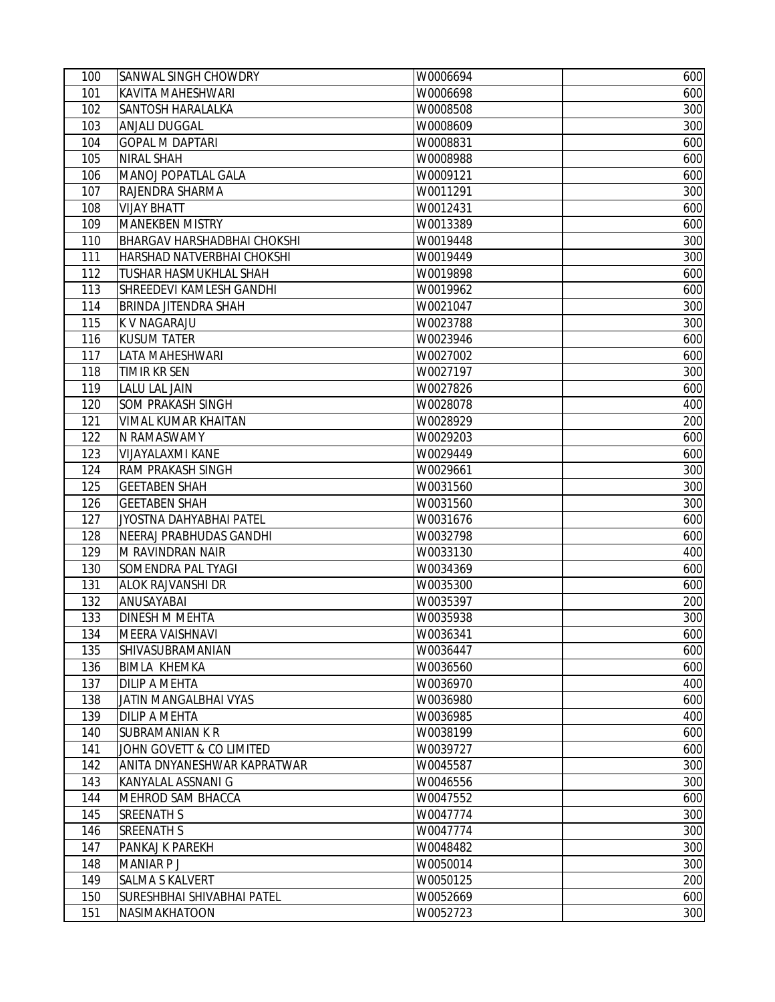| 100 | <b>SANWAL SINGH CHOWDRY</b>        | W0006694 | 600 |
|-----|------------------------------------|----------|-----|
| 101 | KAVITA MAHESHWARI                  | W0006698 | 600 |
| 102 | SANTOSH HARALALKA                  | W0008508 | 300 |
| 103 | <b>ANJALI DUGGAL</b>               | W0008609 | 300 |
| 104 | <b>GOPAL M DAPTARI</b>             | W0008831 | 600 |
| 105 | NIRAL SHAH                         | W0008988 | 600 |
| 106 | MANOJ POPATLAL GALA                | W0009121 | 600 |
| 107 | RAJENDRA SHARMA                    | W0011291 | 300 |
| 108 | <b>VIJAY BHATT</b>                 | W0012431 | 600 |
| 109 | <b>MANEKBEN MISTRY</b>             | W0013389 | 600 |
| 110 | <b>BHARGAV HARSHADBHAI CHOKSHI</b> | W0019448 | 300 |
| 111 | HARSHAD NATVERBHAI CHOKSHI         | W0019449 | 300 |
| 112 | <b>TUSHAR HASMUKHLAL SHAH</b>      | W0019898 | 600 |
| 113 | SHREEDEVI KAMLESH GANDHI           | W0019962 | 600 |
| 114 | BRINDA JITENDRA SHAH               | W0021047 | 300 |
| 115 | K V NAGARAJU                       | W0023788 | 300 |
| 116 | <b>KUSUM TATER</b>                 | W0023946 | 600 |
| 117 | LATA MAHESHWARI                    | W0027002 | 600 |
| 118 | TIMIR KR SEN                       | W0027197 | 300 |
| 119 | <b>LALU LAL JAIN</b>               | W0027826 | 600 |
| 120 | SOM PRAKASH SINGH                  | W0028078 | 400 |
| 121 | VIMAL KUMAR KHAITAN                | W0028929 | 200 |
| 122 | N RAMASWAMY                        | W0029203 | 600 |
| 123 | VIJAYALAXMI KANE                   | W0029449 | 600 |
| 124 | RAM PRAKASH SINGH                  | W0029661 | 300 |
| 125 | <b>GEETABEN SHAH</b>               | W0031560 | 300 |
| 126 | <b>GEETABEN SHAH</b>               | W0031560 | 300 |
| 127 | JYOSTNA DAHYABHAI PATEL            | W0031676 | 600 |
| 128 | NEERAJ PRABHUDAS GANDHI            | W0032798 | 600 |
| 129 | M RAVINDRAN NAIR                   | W0033130 | 400 |
| 130 | SOMENDRA PAL TYAGI                 | W0034369 | 600 |
| 131 | <b>ALOK RAJVANSHI DR</b>           | W0035300 | 600 |
| 132 | ANUSAYABAI                         | W0035397 | 200 |
| 133 | DINESH M MEHTA                     | W0035938 | 300 |
| 134 | MEERA VAISHNAVI                    | W0036341 | 600 |
| 135 | SHIVASUBRAMANIAN                   | W0036447 | 600 |
| 136 | <b>BIMLA KHEMKA</b>                | W0036560 | 600 |
| 137 | <b>DILIP A MEHTA</b>               | W0036970 | 400 |
| 138 | JATIN MANGALBHAI VYAS              | W0036980 | 600 |
| 139 | <b>DILIP A MEHTA</b>               | W0036985 | 400 |
| 140 | <b>SUBRAMANIAN K R</b>             | W0038199 | 600 |
| 141 | JOHN GOVETT & CO LIMITED           | W0039727 | 600 |
| 142 | ANITA DNYANESHWAR KAPRATWAR        | W0045587 | 300 |
| 143 | KANYALAL ASSNANI G                 | W0046556 | 300 |
| 144 | MEHROD SAM BHACCA                  | W0047552 | 600 |
| 145 | <b>SREENATH S</b>                  | W0047774 | 300 |
| 146 | <b>SREENATH S</b>                  | W0047774 | 300 |
| 147 | PANKAJ K PAREKH                    | W0048482 | 300 |
| 148 | <b>MANIAR P J</b>                  | W0050014 | 300 |
| 149 | <b>SALMA S KALVERT</b>             | W0050125 | 200 |
| 150 | SURESHBHAI SHIVABHAI PATEL         | W0052669 | 600 |
| 151 | NASIMAKHATOON                      | W0052723 | 300 |
|     |                                    |          |     |